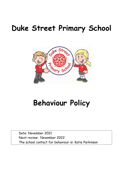# **Duke Street Primary School**



# **Behaviour Policy**

Date: November 2021 Next review: November 2022 The school contact for behaviour is: Katie Parkinson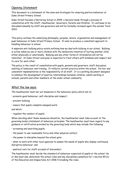# Opening Statement

This document is a statement of the aims and strategies for ensuring positive behaviour at Duke Street Primary School.

Duke Street became a Nurturing School in 2009; a decision made through a process of consultation with the Staff, Headteacher, Governors, Parents and Children. It continues to be discussed annually by staff and governors and will be formally reviewed again the autumn Term 2022.

This policy outlines the underlying philosophy, purpose, nature, organisation and management of pupil behaviour at Duke Street Primary School. It aims to produce a consistent approach to handling behaviour in school.

A separate anti-bullying policy exists outlining how we deal with bullying in our school. Bullying is action taken by one or more children with the deliberate intention of hurting another child, either physically or emotionally. Bullying and any other forms of intimidation will not be tolerated. At Duke Street everyone is expected to treat others with kindness and respect and to care for each other.

The policy is the result of consultation with pupils, parents and governors, staff discussion, auditing of behaviour and training. It reflects current practice within the school. Its fair and consistent implementation is the responsibility of all staff. It is a working document designed to enhance the development of positive relationships between children, adults working in schools, parents and other members of the wider school community.

# What the law says:

The headteacher must set out measures in the behaviour policy which aim to:

- promote good behaviour, self-discipline and respect;
- prevent bullying;
- ensure that pupils complete assigned work;

and which

• regulate the conduct of pupils.

When deciding what these measures should be, the headteacher must take account of the governing body's statement of behaviour principles. The headteacher must have regard to any guidance or notification provided by the governing body which may include the following:

- screening and searching pupils;
- the power to use reasonable force and other physical contact;
- the power to discipline beyond the school gate;

• when to work with other local agencies to assess the needs of pupils who display continuous disruptive behaviour; and

• pastoral care for staff accused of misconduct.

The headteacher must decide the standard of behaviour expected of pupils at the school. He or she must also determine the school rules and any disciplinary penalties for 1 Section 89 (1) of the Education and Inspections Act 2006 5 breaking the rules.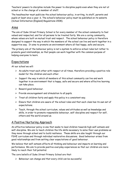Teachers' powers to discipline include the power to discipline pupils even when they are not at school or in the charge of a member of staff.

The headteacher must publicise the school behaviour policy, in writing, to staff, parents and pupils at least once a year. 6. The school's behaviour policy must be published on its website (School Information (England) Regulations 2008).

# Aims

The aim of Duke Street Primary School is for every member of the school community to feel valued and respected, and for all persons to be treated fairly. We are a caring community, whose values are built on mutual trust and respect. The school behaviour policy is therefore designed to support the way in which the members of the school can live and work together in a supportive way. It aims to promote an environment where all feel happy, safe and secure.

The primary aim of the behaviour policy is not a system to enforce school rules but rather to promote good relationships, so that people can work together with the common purpose of helping everyone to learn.

# Expectations

At our school we will:

- $\triangleright$  As adults treat each other with respect at all times, therefore providing a positive role model for the children and each other.
- $\triangleright$  Support the way in which all members of this school community can live and work together in an environment that is happy, safe and secure and where effective learning can take place.
- $\triangleright$  Reward good behaviour.
- $\triangleright$  Provide encouragement and stimulation to all pupils.
- $\triangleright$  Treat all children fairly and apply this policy in a consistent way.
- $\triangleright$  Ensure that children are aware of the school rules and that each class has its own set of expectations.
- $\triangleright$  Teach, through the school curriculum, values and attitudes as well as knowledge and skills, in order to promote responsible behaviour, self-discipline and respect for self, others and the world around us.

# A Positive Nurturing Approach

An effective behaviour policy is one that seeks to lead children towards high self-esteem and self-discipline. We aim to teach children the life skills necessary to solve their own problems as they move through school and to build resilience. These skills are also taught through our PSHE curriculum and through individual restorative discussions. Good behaviour arises from good relationships and from setting clear expectations of good behaviour.

We believe that self-esteem affects all thinking and behaviour and impacts on learning and performance. We aim to provide positive everyday experiences so that our children are more likely to reach their full potential.

The core beliefs of Duke Street Primary School are that:

 $\triangleright$  Behaviour can change and that every child can be successful.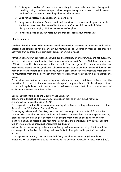- $\triangleright$  Praising and a system of rewards are more likely to change behaviour than blaming and punishing. Using a restorative approach with a positive system of rewards will increase childrens' self-esteem and thus help them to achieve more.
- $\triangleright$  Celebrating success helps children to achieve more.
- $\triangleright$  Being aware of each child's needs and their individual circumstances helps us to act in the fairest way. We always consider the safety of other children and minimize disruption while helping children acquire self-discipline.
- $\triangleright$  Reinforcing good behaviour helps our children feel good about themselves.

# Nurture Group

Children identified with underdeveloped social, emotional, attachment or behaviour skills will be assessed and considered for allocation in our Nurture group. Children in these groups engage in activities that address their particular behaviour or social needs.

Although behaviourist approaches can work for the majority of children, they are not successful with all. This is especially true for those who have experienced Adverse Childhood Experiences (ACEs) – traumatic life experiences that occur before the age of 18. For children who have experienced trauma and loss, including vulnerable groups such as children in care, children at the edge of the care system, and children previously in care, behaviourist approaches often serve to re-traumatise them and do not teach them how to express their emotions in a more appropriate manner.

As a school we believe in a nurturing approach where every child feels listened to. The commitment of staff to the emotional well-being of the pupils is a particular strength of our school. All pupils know that they are safe and secure – and that their contributions and achievements are respected and valued.

Special Educational Needs and Disability and Behaviour.

Behavioural difficulties in themselves are no longer seen as an SEND, but rather as symptomatic of a possible unmet SEND.

It is imperative that staff have an understanding of factors affecting behaviour and that they liaise with the SENDCo and Outreach Team.

In managing behaviour difficulties, the school will have regard to the Code of Practice for children with special educational needs and will strive to ensure that children's special learning needs are identified and met. Support will be sought from external agencies for children identified as having special needs resulting in emotional and behavioural difficulties. Support will involve devising an individual programme building self-

esteem, behaviour recovery, behaviour monitoring and taking responsibility. Children will be encouraged to be involved in setting their own individual targets and be part of the review process.

It is imperative that any sanction is applied fairly and the consequences fully explained (sanctions will be differentiated to the needs of the children, particularly those with SEND).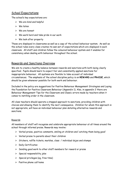# School Expectations

The school's key expectations are:

- $\triangleright$  We are kind and helpful
- We listen
- $\triangleright$  We are honest
- $\triangleright$  We work hard and take pride in our work
- $\triangleright$  We look after property

These are displayed in classrooms as well as a copy of the school behaviour system. As well as the school rules every class creates its own set of expectations which are displayed in each classroom. All staff and children follow the coloured behaviour system and it enables for consistency when dealing with behaviour throughout the school.

# Rewards and Sanctions Overview

We aim to create a healthy balance between rewards and sanctions with both being clearly specified. Pupils should learn to expect fair and consistently applied sanctions for inappropriate behaviour. All systems are flexible to take account of individual circumstances. The emphasis of the school discipline policy is on **REWARD** and **PRAISE**, which should be given whenever possible for both work and behaviour.

Included in the policy are suggestions for Positive Behaviour Management Strategies and Laying the Foundation for Positive Classroom Behaviour (Appendix 1). Also, in appendix 2 there are Behaviour Management Tips for the Classroom and Classic errors made by teachers when it comes to instilling order in the classroom.

All class teachers should operate a stepped approach to sanctions, providing children with choices and allowing them to identify the next consequence. Children for whom this approach is not appropriate, will have an individual behaviour plan detailing alternative rewards and sanctions.

# Rewards

All members of staff will recognise and celebrate appropriate behaviour at all times around the school through informal praise. Rewards may involve*:*

- $\triangleright$  Verbal praise, positive comments, smiling at children and 'catching them being good'
- $\triangleright$  Verbal praise to parents about their children
- $\triangleright$  Stickers, raffle tickets, marbles, class / individual dojos and stamps
- $\triangleright$  Daily Certificates
- $\triangleright$  Sending good work to other staff members for reward or praise
- $\triangleright$  Special responsibility jobs
- $\triangleright$  Special privileges (eq. free time)
- $\triangleright$  Positive phone call home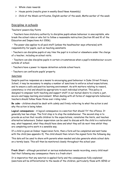- $\triangleright$  Whole class rewards
- $\triangleright$  House points (results given in weekly Good News Assembly)
- $\triangleright$  Child of the Week certificates, English worker of the week, Maths worker of the week

# Discipline in schools

Teachers' powers Key Points

• Teachers have statutory authority to discipline pupils whose behaviour is unacceptable, who break the school rules or who fail to follow a reasonable instruction (Section 90 and 91 of the Education and Inspections Act 2006).

• The power also applies to all paid staff (unless the headteacher says otherwise) with responsibility for pupils, such as teaching assistants.

• Teachers can discipline pupils at any time the pupil is in school or elsewhere under the charge of a teacher, including on school visits.

• Teachers can also discipline pupils in certain circumstances when a pupil's misbehaviour occurs outside of school.

• Teachers have a power to impose detention outside school hours.

• Teachers can confiscate pupils' property.

## Sanctions

Despite positive responses as a means to encouraging good behaviour in Duke Street Primary School, it may be necessary to employ a number of sanctions to enforce school expectations, and to ensure a safe and positive learning environment. As with matters relating to reward, consistency is vital and should be appropriate to each individual situation. This policy is designed to empower both teaching and support staff in our mutual desire to create a just, secure and happy learning environment. When dealing with all forms of inappropriate behaviour, teachers should follow these three over-riding rules:

**Be calm** – children should be dealt with calmly and firmly referring to what the action is and why the action is being taken.

**Logical consequences** – A logical consequence is a sanction that should 'fit' the offence. It generally has two steps. The first step is to stop the misbehaviour. The second step is to provide an action that recalls children to the expectations, reinstates the limits, and teaches alternative behaviours. Indoor supervision can be used to discuss with the child in a restorative way, what happened, what they should have done and what they will do next time whilst they are completing extra work in a sensible way.

If a child is given an Indoor Supervision form, then a form will be completed and sent home with the child (see appendix 4). The child should then return the signed form the following day.

This data will be used to share with parents when needed and also generate whole school data on a termly basis. This will then be monitored closely throughout the school year.

**Fresh Start** – although persistent or serious misbehaviour needs recording, every child must feel that following any consequence there is a fresh start.

It is imperative that any sanction is applied fairly and the consequences fully explained (sanctions will be differentiated to the needs of the children, particularly those with SEND or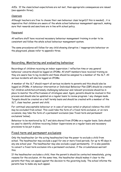ACEs. If the class/school expectations are not met, then appropriate consequences are issued (see appendix three).

# Classroom

Although teachers are free to choose their own behaviour class target(if this is needed) , it is imperative that children are aware of the whole school behaviour management approach, making sure that rewards and sanctions are in line with school policy.

# Playground

All welfare staff have received necessary behaviour management training in order to be consistent and follow the whole school behaviour management system.

The same procedures will follow for any child showing disruptive / inappropriate behaviour on the playground, please refer to appendix three.

# Recording, Monitoring and evaluating behaviour

Recordings of children receiving an indoor supervision / reflection time or any general behaviour concerns should be logged on CPOMs. All staff members have received training so they are aware how to log incidents and these should be assigned to a member of the SLT. All serious incidents will also be logged on CPOMs.

A member of the SLT should report all serious incidents to parents and this should also be logged on CPOMs. A behaviour intervention or Individual Behaviour Plan (IBP) should be created for children exhibited extremely challenging behaviour and relevant provisions should be in place to monitor the effectiveness of strategies used. Again, parents should be involved in this process and should also be updated on a regular basis to review progress / any changes made. Targets should be created on a half termly basis and should be created with a member of the SLT, class teacher, parent and child.

For continual unacceptable behaviour or in case of serious verbal or physical violence the child may be excluded from school. This could take the form of a fixed-term exclusion, or on rare occasions, may take the form of a permanent exclusion (see 'fixed-term and permanent exclusions' below).

Behaviour to be monitored by SLT and data shared from CPOMs on a regular basis. Data should be used to identify children receiving Indoor Supervisions on a regular basis and necessary provisions to be put in place.

# Fixed-term and permanent exclusions

Only the headteacher (or the acting headteacher) has the power to exclude a child from school. The headteacher may exclude a pupil for one or more fixed periods, for up to 45 days in any one school year. The headteacher may also exclude a pupil permanently. It is also possible to convert a fixed-term exclusion into a permanent exclusion, if the circumstances warrant this.

If the headteacher excludes a child, then the parent/s should be contacted immediately, giving reasons for the exclusion. At the same time, the headtecher should makes it clear to the parents that they can appeal against the decision to the governing body. The school informs the parents how to make any such appeal.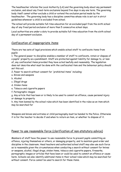The headteacher informs the Local Authority (LA) and the governing body about any permanent exclusion, and about any fixed-term exclusions beyond five days in any one term. The governing body itself cannot either exclude a child or extend the exclusion period made by the headteacher. The governing body has a discipline committee whose role is set out in strict guidelines whenever a child is excluded from school.

The school will provide suitable full-time education for an excluded pupil from the sixth school day of any fixed period exclusion of more than 5 consecutive school days.

Local authorities are under a duty to provide suitable full-time education from the sixth school day of a permanent exclusion.

# Confiscation of inappropriate items

There are two sets of legal provisions which enable school staff to confiscate items from pupils:

1. The general power to discipline enables a member of staff to confiscate, retain or dispose of a pupils' property as a punishment. Staff are protected against liability for damage to, or loss of, any confiscated items provided they have acted lawfully and reasonably. The legislation does not describe what must be done with the confiscated item and the behaviour policy should set this out.

2. Power to search without consent for 'prohibited items' including:

- a. Knives and weapons
- b. Alcohol
- c. Illegal drugs
- d. Stolen items
- e. Tobacco and cigarette papers
- f. Pornographic images

g. Any article that has been or is likely to be used to commit an offence, cause personal injury or damage to property

h. Any item banned by the school rules which has been identified in the rules as an item which may be searched for

Weapons and knives and extreme or child pornography must be handed to the Police. Otherwise it is for the teacher to decide if and when to return an item, or whether to dispose of it.

# Power to use reasonable force (clarification of non-statutory advice)

Members of staff have the power to use reasonable force to prevent pupils committing an offence, injuring themselves or others, or damaging property, and to maintain good order and discipline in the classroom. Head teachers and authorised school staff may also use such force as is reasonable given the circumstances when conducting a search without consent for knives or weapons, alcohol, illegal drugs, stolen items, tobacco and cigarette papers, fireworks, pornographic images or articles that have been or could be used to commit an offence or cause harm. Schools can also identify additional items in their school rules which may be searched for without consent. Force cannot be used to search for these items.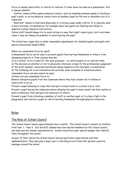Force is usually used either to control or restrain. It must never be used as a punishment; this is always unlawful.

- 'Control' means either passive physical contact, such as standing between pupils or blocking a pupil's path, or active physical contact such as leading a pupil by the arm or shoulders out of a classroom.

- 'Restraint' means to hold back physically or to bring a pupil under control. It is typically used in more extreme circumstances, for example when two pupils are fighting and refuse to separate without physical intervention.

School staff should always try to avoid acting in a way that might cause injury, but in extreme cases it may not always be possible to avoid injuring the pupil.

The school has a legal duty to make reasonable adjustments for disabled pupils and pupils with special educational needs (SEN).

When can reasonable force be used?

1) Reasonable force can be used to prevent pupils from hurting themselves or others, from damaging property or from causing disorder.

2) In a school, force is used for two main purposes – to control pupils or to restrain them.

3) The decision on whether or not to physically intervene is down to the professional judgement

of the staff member concerned and should always depend on the individual circumstances.

4) The following list is not exhaustive but provides some examples of situations where reasonable force can and cannot be used.

Schools can use reasonable force to:

Remove disruptive pupils from the classroom where they have chosen not to follow an instruction to do so;

Prevent a pupil behaving in a way that disrupts a school event or a school trip or visit;

Prevent a pupil leaving the classroom where allowing the pupil to leave would risk their safety or lead to behaviour that disrupts the behaviour of others;

Prevent a pupil from attacking a member of staff or another pupil, or to stop a fight in the playground; and restrain a pupil at risk of harming themselves through physical outbursts.

# Roles

# The Role of School Council

The School Council meets approximately once a month. The School Council consists of children from Year 1 – Year 6. KS1 and KS2 classes have two elected members on the School Council, one male and one female representative. School Councillors wear special badges that identify them throughout the school.

As part of their duties the School Council discuss particular expectations and their implementation. They also play a major part in deciding on activities that spread a positive message around the school.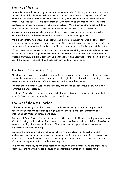# The Role of Parents

Parents have a vital role to play in their children's education. It is very important that parents support their child's learning and co-operate with the school. We are very conscious of the importance of having strong links with parents and good communication between home and school. Thus, the school works collaboratively with parents, so children receive consistent messages about how to behave at home and at school. We expect parents to support school expectations and work with class teachers to improve behaviour where necessary.

A Home School Agreement that outlines the responsibilities of the parent and the school; including those around behaviour and attendance are included as appendix 5.

We expect parents to behave in a reasonable and civilised manner towards all school staff. Incidents of verbal or physical aggression to staff by parents/guardians/carers of children in the school will be reported immediately to the headteacher who will take appropriate action.

If the school has to use reasonable sanctions to deal with a child, parents should support the actions of the school. If parents have any concern about the way that their child has been treated, they should initially contact the class teacher. The headteacher may then be involved and, if the concern remains, they should contact the school governors.

# The Role of Non-teaching Staff

All school staff have a responsibility to uphold the behaviour policy. Non-teaching staff should ensure that children move sensibly and quietly through the school at all times helping to ensure a calm atmosphere in the corridors, classrooms and other school areas.

Children should be made aware that rough play and potentially dangerous behaviour in the playground is unacceptable.

Lunchtime Supervisors are in close touch with the class teachers and communicate with them about incidents of unacceptable behaviour at lunchtime.

# The Role of the Class Teacher

Duke Street Primary School is aware that good classroom organisation is a key to good behaviour and that the provision of a high quality curriculum through interesting and challenging activities influences behaviour.

Teachers at Duke Street Primary School are positive, enthusiastic and have high expectations of both learning and behaviour. They foster a sense of self-esteem in all children, linked with an understanding of the needs of others. They should encourage a calm and responsive atmosphere, avoiding shouting.

Teachers should deal with parental concerns in a timely, respectful, sympathetic and professional manner, involving senior staff as appropriate. Teachers expect that parents will behave in a reasonable manner towards them, as professionals, and that issues will be dealt with in an atmosphere of trust and mutual respect.

It is the responsibility of the class teacher to ensure that the school rules are enforced in their class, and that their class behaves in a responsible manner during lesson time.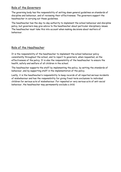# Role of the Governors

The governing body has the responsibility of setting down general guidelines on standards of discipline and behaviour, and of reviewing their effectiveness. The governors support the headteacher in carrying out these guidelines.

The headteacher has the day-to-day authority to implement the school behaviour and discipline policy, but governors may give advice to the headteacher about particular disciplinary issues. The headteacher must take this into account when making decisions about matters of behaviour.

# Role of the Headteacher

It is the responsibility of the headteacher to implement the school behaviour policy consistently throughout the school, and to report to governors, when requested, on the effectiveness of the policy. It is also the responsibility of the headteacher to ensure the health, safety and welfare of all children in the school.

The headteacher supports the staff by implementing the policy, by setting the standards of behaviour, and by supporting staff in the implementation of the policy.

Lastly, it is the headteacher's responsibility to keep records of all reported serious incidents of misbehaviour and has the responsibility for giving fixed-term exclusions to individual children for serious acts of misbehaviour. For repeated or very serious acts of anti-social behaviour, the headteacher may permanently exclude a child.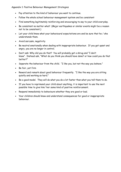Appendix 1: Positive Behaviour Management Strategies

- Pay attention to the kind of behaviour you want to continue.
- Follow the whole school behaviour management system and be consistent
- Find something legitimately reinforcing and encouraging to say to your child everyday.
- Be consistent no matter what! (Major earthquakes or similar events might be a reason not to be consistent.)
- Let your child know what your behavioural expectations are and be sure that he / she understands them.
- Avoid sarcasm, negativity
- Be neutral emotionally when dealing with inappropriate behaviour. If you get upset and angry, you are no longer in control.
- Don't ask: Why did you do that? You will probably get a shrug and "I don't know". Instead ask, "What do you think you should have done? or how could you do that better?"
- Separate the behaviour from the child. "I like you, but not the way you behave."
- Be fair, yet firm
- Reward and remark about good behaviour frequently. "I like the way you are sitting quietly and working so hard."
- Be a good model. They will do what you do a lot faster than what you tell them to do.
- If you have to reprimand your child about anything, it is important to use the next possible time to give him/ her some kind of positive reinforcement.
- Respond immediately to behaviours whether they are good or bad.
- Your children should know and understand consequences for good or inappropriate behaviour.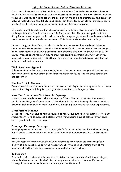# **Laying the Foundation for Positive Classroom Behaviour**

Classroom behaviour is one of the trickiest issues teachers face today. Disruptive behaviour results in lost curriculum time and creates a classroom environment that is not always conducive to learning. One key to nipping behavioural problems in the bud is to promote positive behaviour before problems arise. This takes some planning, but the following article will provide you with practical tips to help you lay a foundation for positive classroom behaviour.

It probably won't surprise you that classroom control/discipline is rated among the top four challenges teachers face in schools today. In fact, almost half the teachers polled said that discipline was a serious problem in their schools. Not surprisingly, when the public was polled on the same issues, they ranked classroom control/discipline as the number one challenge.

Unfortunately, teachers face not only the challenge of managing their students' behaviour while teaching the curriculum. They also face many conflicting theories about how to manage it: logical consequences, behaviour management and assertive discipline, to name just a few. Of course, there is no one "correct" way to encourage positive classroom behaviour. But if you begin with a good foundation, it is possible. Here are a few time-tested suggestions that can help you build that foundation.

## **Think About Your Approach**

Take some time to think about the strategies you plan to use to encourage positive classroom behaviour. Clarifying your strategies will make it easier for you to lead the class confidently and effectively.

## **Visualise Possible Challenges**

Imagine possible classroom challenges and review your strategies for dealing with them. Having clear-cut strategies will help keep you grounded when these challenges do arise.

# **Make Your Expectations Clear from the Beginning**

Make sure that students know what you expect of them. The classroom rules you present should be positive, specific and concise. They should be displayed in every classroom and also around school. You should also spell out what will happen if students do not meet expectations.

## **Model Positive Behaviour**

Occasionally, you may have to remind yourself to follow your own rules. For example, if you ask students not to drink beverages in class, refrain from keeping a cup of coffee on your desk, even if you do not drink it during class.

# **Encourage, Encourage, Encourage**

When you praise students who are excelling, don't forget to encourage those who are trying, but struggling. These students often lack confidence and need more positive reinforcement.

## **Show Respect**

Showing respect for your students includes listening to their needs and preserving their dignity. It also means living up to their expectations of you, such as greeting them at the beginning of class or returning corrected homework in a timely fashion.

## **Be Consistent**

Be sure to address student behaviour in a consistent manner. Be wary of shifting strategies when misbehaviour occurs. To students, this may show a lack of decisiveness. Follow the strategy in place as this will ensure consistency across the school.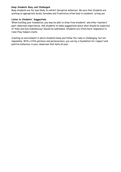## **Keep Students Busy and Challenged**

Busy students are far less likely to exhibit disruptive behaviour. Be sure that students are working at appropriate levels; boredom and frustration often lead to students' acting out.

## **Listen to Students' Suggestions**

When building your foundation, you may be able to draw from students' and other teachers' past classroom experiences. Ask students to make suggestions about what should be expected of them and how misbehaviour should be addressed. Students are often more responsive to rules they helped create.

Creating an environment in which students know and follow the rules is challenging, but not impossible. With a little patience and perseverance, you can lay a foundation for respect and positive behaviour in your classroom that lasts all year.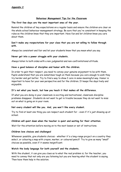# **Behaviour Management Tips for the Classroom**

## **The first few days are the most important ones of the year.**

Remind the children of key expectations on a regular basis and ensure the children are clear on the whole school behaviour management strategy. Be sure that you're consistent in keeping the rules so the children know that they are important. Have fun and let children know you care about them.

# **Don't make any rexpectations for your class that you are not willing to follow through with.**

Always be consistent and fair and let your students know that you mean what you say.

## **Never get into a power struggle with your students.**

Always listen to both sides with a non-judgmental and non-confrontational attitude.

## **Have a good balance of discipline and humor with the children.**

In order to gain their respect, you need to convey your genuine enjoyment to be with them. Pupils understand that you are sometimes tough on them because you care enough to wish they try harder and get better. Try to find a way to show I care in some meaningful way. Humor is important to have for your own perspective and for the children. It keeps the days lively and enjoyable.

# **It's not what you teach, but how you teach it that makes all the difference.**

If what you are doing in your classroom is exciting and motivational, classroom discipline problems disappear. Students do not want to get in trouble because they do not want to miss out on what is going on in your room.

# **Not every student will like you. And, you won't like every student.**

Try to find at least one thing you can respect each student for - even if it's just showing up at school.

# **Children will quiet down when the teacher is quiet and waiting for their attention.**

Wait for the attention before moving on to the next lesson or set of instructions.

# **Children love choices and challenges!**

Whenever possible, give students choices - whether it's a long-range project on a country they select, or colouring a map with crayon, marker, or coloured pencil! Try to give as many "small" choices as possible, even if it seems insignificant.

# **Watch the body language for both yourself and the students.**

With the student, it can give you clues as to what the real problem is; for the teacher, you need to convey that not only are you listening but you are hearing what the student is saying. Then have them help in the solution.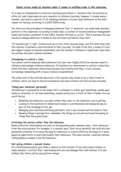It is seen as fundamental to effective teaching and without it, teachers flee the workforce. After all, calm classrooms are pre-requisite to children's learning. However it eludes many a teacher, and nearly a quarter of all resigning teachers cite poor pupil behaviour as the main reason for leaving, according to a DfES 2003 study.

Yet there are key principles of managing behaviour that, if mastered, can really help teachers perform in the classroom. According to Andy Vass, co-author of several behaviour management books and former consultant to the DfES, teacher attitude is crucial. "This is because the way teachers manage behaviour is based on the attitudes and beliefs they hold."

"If teachers get it right, children pick up on this, often unconsciously, and this tells them that this teacher is authentic and interested in their success," he adds. From this, a sense of trust and rapport begins to become established, and the teacher's influence is significant, says Vass. He outlines the most common mistakes:

#### **Attempting to control a class**

You cannot control anybody else's behaviour but your own. Highly effective teachers seek to influence and manage children's behaviour. If teachers are determined to control a class they often find that classroom interactions become more hostile and they, in turn, become increasingly demanding with a heavy reliance on punishment.

The other end of the attitude spectrum is the teacher who needs to be a 'best friend' to children, which can lead to blurred boundaries and some children will feel socially excluded.

#### **Taking poor behaviour personally**

All behaviour is purposeful in the sense that it attempts to either gain something, usually peer kudos or attention, or not lose something, usually saving face in front of their friends. You can avoid this by:

- Modelling the behaviour you want rather than react to the behaviour you're getting.
- Looking to find solutions to behavioural issues in a professional and measured way as part of the challenge of the job.
- Managing your emotions and being optimistic that a way forward will be found in time.
- Keeping things in perspective; remember the things you do well and avoid focussing on things that have gone badly.

## **Criticising the person rather than the behaviour**

Really effective relationships are built on distinguishing what someone does - their behaviour from the actual person. For example, if a teacher says: 'Don't be so spiteful!' the child will feel personally attacked. Criticising the specific behaviour is a more effective strategy as it gives pupils an opportunity to learn and modify their behaviour. The same teacher could say instead, 'Calling Rebecca names is hurtful behaviour.'

## **Not giving children a second chance**

If a child behaves poorly give them a chance to start afresh. If you don't allow children to make amends it can limit their relationship with you and damage their self-esteem. It's also unlikely that there will be any positive change.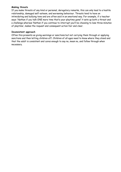## **Making threats**

If you make threats of any kind or personal, derogatory remarks, this can only lead to a hostile relationship, damaged self-esteem, and worsening behaviour. Threats tend to have an intimidating and bullying tone and are often said in an emotional way. For example, if a teacher says: 'Nathan if you talk ONE more time that's your playtime gone!' it sets up both a threat and a challenge whereas 'Nathan if you continue to interrupt you'll be choosing to lose three minutes of playtime', makes the request and consequent action fair and clear.

## **Inconsistent approach**

Often this presents as giving warnings or sanctions but not carrying them through or applying sanctions and then letting children off. Children of all ages need to know where they stand and that the adult is consistent and cares enough to say no, mean no, and follow through when necessary.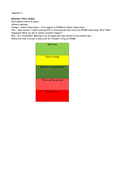Appendix 3

#### **Behaviour Policy display.**

Each session starts at green.

Yellow is warning.

Orange – Indoor Supervision – To be logged on CPOMs by Indoor Supervisors

Pink – class teacher / Adult covering PPA to inform parent and record on CPOMs identifying: Who? What happened? What you did to resolve incident? Impact?

Red – SLT involvement. Meeting to be arranged and class teacher to be present also.

Reflection time to be put in place and SLT member to log on CPOMs

| <b>Well Done</b>          |
|---------------------------|
| Time to change            |
| Behaviour is unacceptable |
| This is getting serious   |
| This is serious           |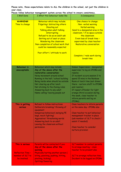**Please note, these expectations relate to ALL the children in the school, not just the children in your class.**

| Please follow behaviour management system across the school to ensure consistency. |
|------------------------------------------------------------------------------------|
|------------------------------------------------------------------------------------|

| 1. Well Done                                                                   | 2. What this behaviour looks like                                                                                                                                                                                                                                                                                                                    | 3.Consequence                                                                                                                                                                                                                                                                                                                                                             |
|--------------------------------------------------------------------------------|------------------------------------------------------------------------------------------------------------------------------------------------------------------------------------------------------------------------------------------------------------------------------------------------------------------------------------------------------|---------------------------------------------------------------------------------------------------------------------------------------------------------------------------------------------------------------------------------------------------------------------------------------------------------------------------------------------------------------------------|
| <b>WARNING!</b><br>Time to change                                              | Behaviour which may include;<br>Fidgeting/ distracting others<br><b>Shouting out</b><br>Talking when adult talking<br><b>Interrupting</b><br>Refusal to do as an adult ask<br>Getting out of seat or place<br><b>Wandering the classroom</b><br>Non-completion of school work that<br>could be reasonably expected<br>Poor effort / attitude to work | One chance to change:<br>Non- verbal warning<br><b>Verbal warning</b><br>Send to a designated area in the<br>classroom / if no space outside<br>the classroom<br>5 min loss of break time -<br>supervised by class teacher<br>Restorative conversation<br>Complete / redo work during<br><b>break time</b>                                                                |
| <b>Behaviour is</b><br>unacceptable                                            | Behaviour which may include;<br>Any of the above after the<br>restorative conversation:<br>Noisy movement around school<br>Running in the hall / school building<br>Being inside when should be outside<br>Not clearing up after lunch<br>Not sticking to the Zoning rules<br>Answering back to any adult<br>Name calling/ leaving people out        | Indoor Supervision - designated<br>supervisor to log on CPOMs and<br>resolve<br>If incident occurs session 2 to<br>spend 15 mins in the Rainbow<br>Room at lunch time (eat dinner<br>there - nurture staff to CPOMs<br>and resolve)<br>If repeat offender for light<br>orange (third occasion during<br>the week, class teacher to<br>inform parents and log on<br>CPOMs) |
| This is getting<br>serious                                                     | Refusal to follow instructions<br>Deliberate breaking/ throwing of<br>equipment<br>Dangerous behaviour( swinging PE<br>bags, mock fighting)<br>Aggressive/ threatening words<br>Answering back to an adult<br>Leaving the classroom without<br>permission                                                                                            | Class teachers to inform parents<br>on the same day- CPOMs also<br>Class teacher to put behaviour<br>management tracker in place<br>(ask member of SLT to check /<br>assist if needed)<br>Class teacher to consider<br>nurture provision                                                                                                                                  |
| This is serious<br><b>Reflection Time -</b><br>member of SLT to<br>be involved | Parents will be contacted if you:<br>Any of the above after the<br>warning<br>Physically hurting another person (<br>biting, punching, pushing, hitting,<br>pinching, kicking)<br>Spitting/Swearing                                                                                                                                                  | SLT member to contact parents<br>to arrange meeting - class<br>teacher to be present also<br>SLT to arrange reflection time<br>Incident to be logged on CPOMs                                                                                                                                                                                                             |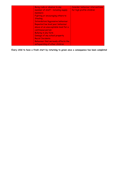| Being rude or abusive to any<br>member of staff - including supply<br>members<br>Fighting or encouraging others to<br><b>Stealing</b><br><b>Intimidation/Aggressive behaviour</b><br>Repeated low level poor behaviour<br>above at an unacceptable level for a<br>continuous period.<br><b>Bullying in any form</b><br>Damage of any school property<br><b>Racist Incidents</b> | <b>Consider behaviour interventions</b><br>for high profile children |
|---------------------------------------------------------------------------------------------------------------------------------------------------------------------------------------------------------------------------------------------------------------------------------------------------------------------------------------------------------------------------------|----------------------------------------------------------------------|
| Behaviour that seriously affects the<br>safeguarding of other children                                                                                                                                                                                                                                                                                                          |                                                                      |

**Every child to have a fresh start by returning to green once a consequence has been completed**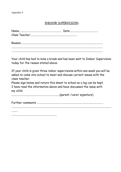# INDOOR SUPERVISION

Your child has had to miss a break and has been sent to Indoor Supervision today for the reason stated above.

If your child is given three indoor supervisions within one week you will be asked to come into school to meet and discuss current issues with the class teacher.

Please sign below and return this sheet to school so a log can be kept. I have read the information above and have discussed the issue with my child.

....................................................................(parent /carer signature)

Further comments ............................................................................................. .

.............................................................................................................................................

.........

................................................................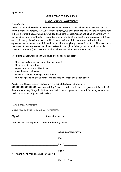## Duke Street Primary School

#### **HOME SCHOOL AGREEMENT**

#### *Introduction:*

Under the School Standards and Framework Act 1998 all state schools must have in place a Home School Agreement. At Duke Street Primary, we encourage parents to take an active part in their children's education and so we see the Home School Agreement as an integral part of our parental involvement policy. Parents are children's first and most enduring educators. Good quality learning should take place both at home and school. It is our aim to develop this agreement with you and the children in order that everybody is committed to it. This version of the Home School Agreement has been revised in the light of changes made to the school's Mission Statement (see current school brochure [annual information update)

The Home School Agreement will cover the following aspects:

- the standards of education within our school
- the ethos of our school
- regular and punctual attendance
- discipline and behaviour
- Preview tasks to be completed at home
- the information that the school and parents will share with each other

Please read the agreement and return the completed reply slip below by **XXXXXXXXXXXXXXX.** We hope all Key Stage 2 children will sign the agreement. Parents of Reception and Key Stage 1 children may feel it more appropriate to explain the agreement to their children and sign on their behalf.

………………………………………………………………………………………………………………………………………………………………………………

#### *Home School Agreement*

.

*I have received the Home School Agreement.*

Signed (parent / carer)

I understand and support the Home School Agreement.

 $S$ chool representative  $\blacksquare$  . The state of the state of the state of the state of the state of the state of the state of the state of the state of the state of the state of the state of the state of the state of the state of the state of the \_\_\_\_\_\_\_\_\_\_\_\_\_\_\_\_\_\_\_\_\_\_\_\_\_\_\_\_\_\_\_\_\_ Pupil\*\_\_\_\_\_\_\_\_\_  $\equiv$  Pupil\*  $\equiv$ (\* - where more than one child in family. ) Parent / Carer  $\overline{\phantom{a}}$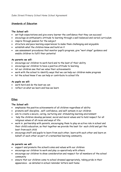## **Standards of Education**

## **The School will:**

- set high expectations and give every learner the confidence that they can succeed
- encourage an enthusiastic attitude to learning through a well-balanced and varied curriculum
- inspire through passion for the subject
- structure and pace learning experiences to make them challenging and enjoyable
- establish what the children know and build on it
- use assessment procedures that monitor pupil's progress, give "next steps" guidance and enable children to fulfil their potential

#### **As parents we will:**

- encourage our children to work hard and to the best of their ability
- encourage our children to have a positive attitude to learning
- let our children see that we value their achievements
- work with the school to identify ways that we can help our children make progress
- let the school know if we can help or contribute to school life

## **As pupils we will:**

- work hard and do the best we can
- reflect on what we learn and how we learn

# **Ethos**

## **The School will:**

- emphasise the positive achievements of all children regardless of ability
- promote self-discipline , self-confidence, and self-esteem in our children
- aim to create a secure, caring, nurturing and stimulating learning environment
- help the children develop personal, social and moral values and to hold respect for all religious values of all races and ways of life
- work in partnership with parents, encouraging them to play an active role in school and their child's education, so that together we provide the best *for* each child and get the best *from* each child
- encourage staff and pupils to learn from each other, learn with each other and learn on behalf of each other as part of a networked learning community.

## **As parents we will:**

- support and promote the school's aims and values with our children
- encourage our children to work and play co-operatively with others
- encourage our children to show consideration and respect for all members of the school community
- ensure that our children come to school dressed appropriately, taking pride in their appearance - as detailed in school reminder letters sent home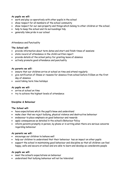## **As pupils we will:**

- work and play co-operatively with other pupils in the school
- show respect for all members of the school community
- show respect for our own property and things which belong to other children or the school.
- help to keep the school and its surroundings tidy
- generally take pride in our school

#### Attendance and Punctuality

## **The School will:**

- provide information about term dates and start and finish times of sessions
- state record of attendance in the child's written report
- provide details of the school policy for granting leave of absence
- actively promote good attendance and punctuality

#### **As parents we will:**

- ensure that our children arrive at school on time and attend regularly
- give notification of illness or reasons for absence from school before 9.10am on the first day of absence
- avoid taking term time holidays

## **As pupils we will:**

- arrive at school on time
- try to achieve the highest levels of attendance

## **Discipline & Behaviour**

## **The School will:**

- have expectations which the pupil's know and understand
- make clear that we reject bullying, physical violence and destructive behaviour
- endeavour to place emphasis on good behaviour and rewards
- apply consequences as detailed in the school's Behaviour Policy
- inform parents promptly in person, by phone or in writing when there are serious concerns regarding behaviour

## **As parents we will:**

- encourage our children to behave well
- help our children to understand that their behaviour has an impact on other pupils
- support the school in maintaining good behaviour and discipline so that all children can feel happy, safe and secure at school and are able to learn and develop as considerate people

## **As pupils we will:**

- meet the school's expectations on behaviour
- understand that bullying behaviour will not be tolerated